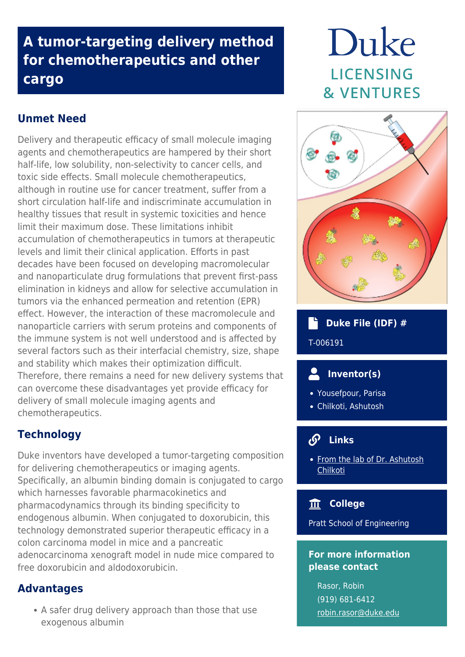## **A tumor-targeting delivery method for chemotherapeutics and other cargo**

## **Unmet Need**

Delivery and therapeutic efficacy of small molecule imaging agents and chemotherapeutics are hampered by their short half-life, low solubility, non-selectivity to cancer cells, and toxic side effects. Small molecule chemotherapeutics, although in routine use for cancer treatment, suffer from a short circulation half-life and indiscriminate accumulation in healthy tissues that result in systemic toxicities and hence limit their maximum dose. These limitations inhibit accumulation of chemotherapeutics in tumors at therapeutic levels and limit their clinical application. Efforts in past decades have been focused on developing macromolecular and nanoparticulate drug formulations that prevent first-pass elimination in kidneys and allow for selective accumulation in tumors via the enhanced permeation and retention (EPR) effect. However, the interaction of these macromolecule and nanoparticle carriers with serum proteins and components of the immune system is not well understood and is affected by several factors such as their interfacial chemistry, size, shape and stability which makes their optimization difficult. Therefore, there remains a need for new delivery systems that can overcome these disadvantages yet provide efficacy for delivery of small molecule imaging agents and chemotherapeutics.

## **Technology**

Duke inventors have developed a tumor-targeting composition for delivering chemotherapeutics or imaging agents. Specifically, an albumin binding domain is conjugated to cargo which harnesses favorable pharmacokinetics and pharmacodynamics through its binding specificity to endogenous albumin. When conjugated to doxorubicin, this technology demonstrated superior therapeutic efficacy in a colon carcinoma model in mice and a pancreatic adenocarcinoma xenograft model in nude mice compared to free doxorubicin and aldodoxorubicin.

### **Advantages**

• A safer drug delivery approach than those that use exogenous albumin

# Duke **LICENSING & VENTURES**



## **Duke File (IDF) #** T-006191

## **Inventor(s)**

- Yousefpour, Parisa
- Chilkoti, Ashutosh

#### **Links**

• [From the lab of Dr. Ashutosh](http://chilkotilab.pratt.duke.edu/) **[Chilkoti](http://chilkotilab.pratt.duke.edu/)** 

#### **College**

Pratt School of Engineering

#### **For more information please contact**

Rasor, Robin (919) 681-6412 [robin.rasor@duke.edu](mailto:robin.rasor@duke.edu)